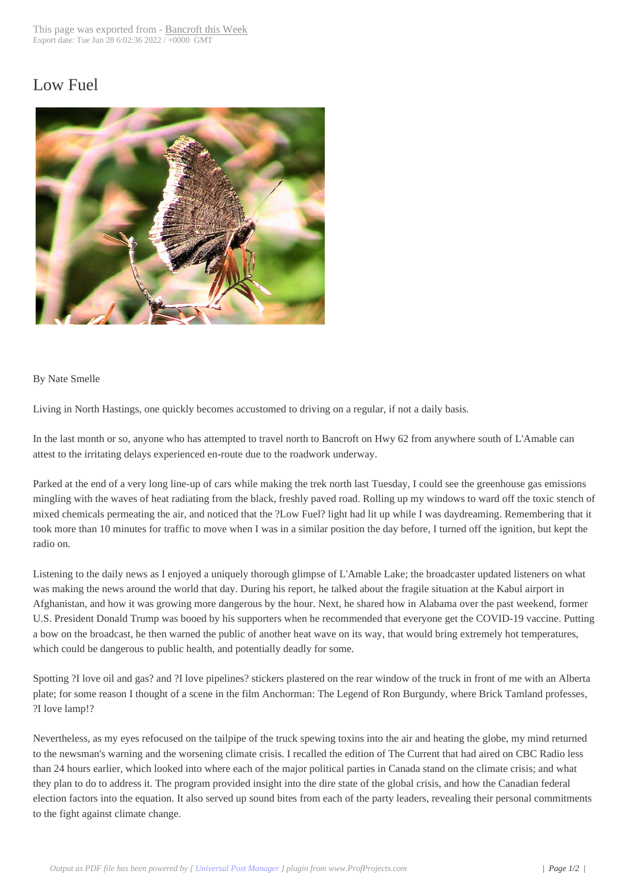## Low Fuel



## By Nate Smelle

Living in North Hastings, one quickly becomes accustomed to driving on a regular, if not a daily basis.

In the last month or so, anyone who has attempted to travel north to Bancroft on Hwy 62 from anywhere south of L'Amable can attest to the irritating delays experienced en-route due to the roadwork underway.

Parked at the end of a very long line-up of cars while making the trek north last Tuesday, I could see the greenhouse gas emissions mingling with the waves of heat radiating from the black, freshly paved road. Rolling up my windows to ward off the toxic stench of mixed chemicals permeating the air, and noticed that the ?Low Fuel? light had lit up while I was daydreaming. Remembering that it took more than 10 minutes for traffic to move when I was in a similar position the day before, I turned off the ignition, but kept the radio on.

Listening to the daily news as I enjoyed a uniquely thorough glimpse of L'Amable Lake; the broadcaster updated listeners on what was making the news around the world that day. During his report, he talked about the fragile situation at the Kabul airport in Afghanistan, and how it was growing more dangerous by the hour. Next, he shared how in Alabama over the past weekend, former U.S. President Donald Trump was booed by his supporters when he recommended that everyone get the COVID-19 vaccine. Putting a bow on the broadcast, he then warned the public of another heat wave on its way, that would bring extremely hot temperatures, which could be dangerous to public health, and potentially deadly for some.

Spotting ?I love oil and gas? and ?I love pipelines? stickers plastered on the rear window of the truck in front of me with an Alberta plate; for some reason I thought of a scene in the film Anchorman: The Legend of Ron Burgundy, where Brick Tamland professes, ?I love lamp!?

Nevertheless, as my eyes refocused on the tailpipe of the truck spewing toxins into the air and heating the globe, my mind returned to the newsman's warning and the worsening climate crisis. I recalled the edition of The Current that had aired on CBC Radio less than 24 hours earlier, which looked into where each of the major political parties in Canada stand on the climate crisis; and what they plan to do to address it. The program provided insight into the dire state of the global crisis, and how the Canadian federal election factors into the equation. It also served up sound bites from each of the party leaders, revealing their personal commitments to the fight against climate change.